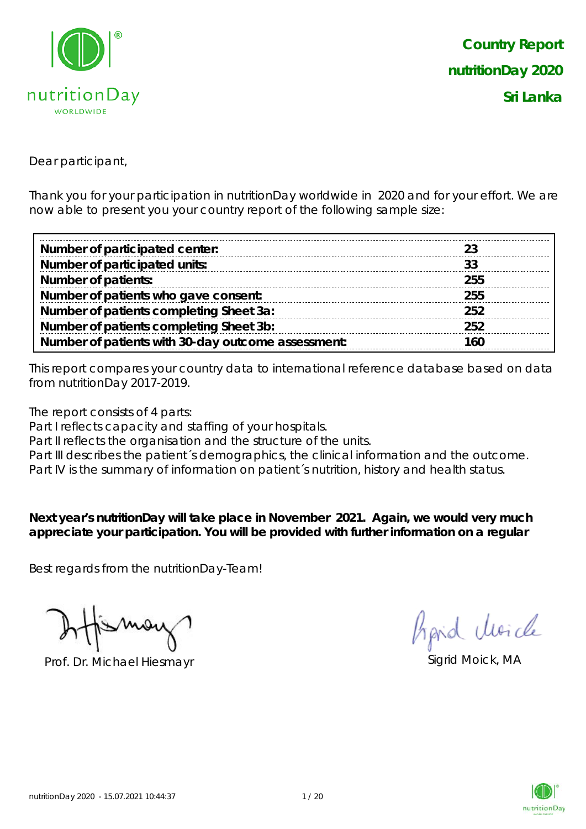

*Country Report nutritionDay 2020 Sri Lanka*

Dear participant,

Thank you for your participation in nutritionDay worldwide in 2020 and for your effort. We are now able to present you your country report of the following sample size:

| Number of participated center:                     |     |
|----------------------------------------------------|-----|
| Number of participated units:                      | 33  |
| <b>Number of patients:</b>                         | 255 |
| Number of patients who gave consent:               | 255 |
| Number of patients completing Sheet 3a:            | 252 |
| Number of patients completing Sheet 3b:            | 252 |
| Number of patients with 30-day outcome assessment: | 160 |

This report compares your country data to international reference database based on data from nutritionDay 2017-2019.

The report consists of 4 parts:

Part I reflects capacity and staffing of your hospitals.

Part II reflects the organisation and the structure of the units.

Part III describes the patient's demographics, the clinical information and the outcome.

Part IV is the summary of information on patient´s nutrition, history and health status.

**Next year's nutritionDay will take place in November 2021. Again, we would very much appreciate your participation. You will be provided with further information on a regular** 

Best regards from the nutritionDay-Team!

Prof. Dr. Michael Hiesmayr Sigrid Moick, MA

Aprid Moich

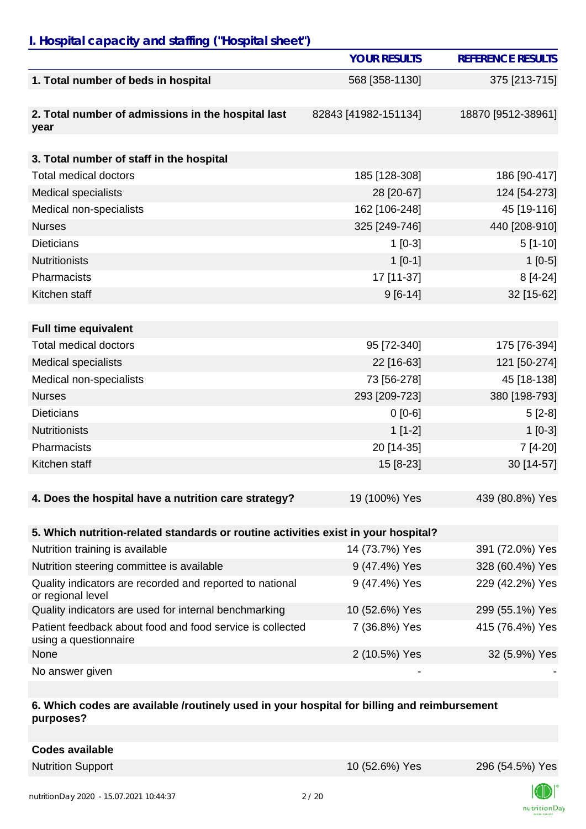## *I. Hospital capacity and staffing ("Hospital sheet")*

|                                                                                    | <b>YOUR RESULTS</b>  | <b>REFERENCE RESULTS</b> |
|------------------------------------------------------------------------------------|----------------------|--------------------------|
| 1. Total number of beds in hospital                                                | 568 [358-1130]       | 375 [213-715]            |
|                                                                                    |                      |                          |
| 2. Total number of admissions in the hospital last<br>year                         | 82843 [41982-151134] | 18870 [9512-38961]       |
|                                                                                    |                      |                          |
| 3. Total number of staff in the hospital                                           |                      |                          |
| <b>Total medical doctors</b>                                                       | 185 [128-308]        | 186 [90-417]             |
| <b>Medical specialists</b>                                                         | 28 [20-67]           | 124 [54-273]             |
| Medical non-specialists                                                            | 162 [106-248]        | 45 [19-116]              |
| <b>Nurses</b>                                                                      | 325 [249-746]        | 440 [208-910]            |
| <b>Dieticians</b>                                                                  | $1$ [0-3]            | $5[1-10]$                |
| <b>Nutritionists</b>                                                               | $1[0-1]$             | $1[0-5]$                 |
| Pharmacists                                                                        | 17 [11-37]           | $8[4-24]$                |
| Kitchen staff                                                                      | $9[6-14]$            | 32 [15-62]               |
|                                                                                    |                      |                          |
| <b>Full time equivalent</b>                                                        |                      |                          |
| <b>Total medical doctors</b>                                                       | 95 [72-340]          | 175 [76-394]             |
| <b>Medical specialists</b>                                                         | 22 [16-63]           | 121 [50-274]             |
| Medical non-specialists                                                            | 73 [56-278]          | 45 [18-138]              |
| <b>Nurses</b>                                                                      | 293 [209-723]        | 380 [198-793]            |
| <b>Dieticians</b>                                                                  | $0[0-6]$             | $5[2-8]$                 |
| <b>Nutritionists</b>                                                               | $1[1-2]$             | $1[0-3]$                 |
| Pharmacists                                                                        | 20 [14-35]           | 7 [4-20]                 |
| Kitchen staff                                                                      | 15 [8-23]            | 30 [14-57]               |
|                                                                                    |                      |                          |
| 4. Does the hospital have a nutrition care strategy?                               | 19 (100%) Yes        | 439 (80.8%) Yes          |
|                                                                                    |                      |                          |
| 5. Which nutrition-related standards or routine activities exist in your hospital? |                      |                          |
| Nutrition training is available                                                    | 14 (73.7%) Yes       | 391 (72.0%) Yes          |
| Nutrition steering committee is available                                          | 9 (47.4%) Yes        | 328 (60.4%) Yes          |
| Quality indicators are recorded and reported to national<br>or regional level      | 9 (47.4%) Yes        | 229 (42.2%) Yes          |
| Quality indicators are used for internal benchmarking                              | 10 (52.6%) Yes       | 299 (55.1%) Yes          |
| Patient feedback about food and food service is collected<br>using a questionnaire | 7 (36.8%) Yes        | 415 (76.4%) Yes          |
| None                                                                               | 2 (10.5%) Yes        | 32 (5.9%) Yes            |
| No answer given                                                                    |                      |                          |

#### **6. Which codes are available /routinely used in your hospital for billing and reimbursement purposes?**

| <b>Codes available</b> |
|------------------------|
|------------------------|

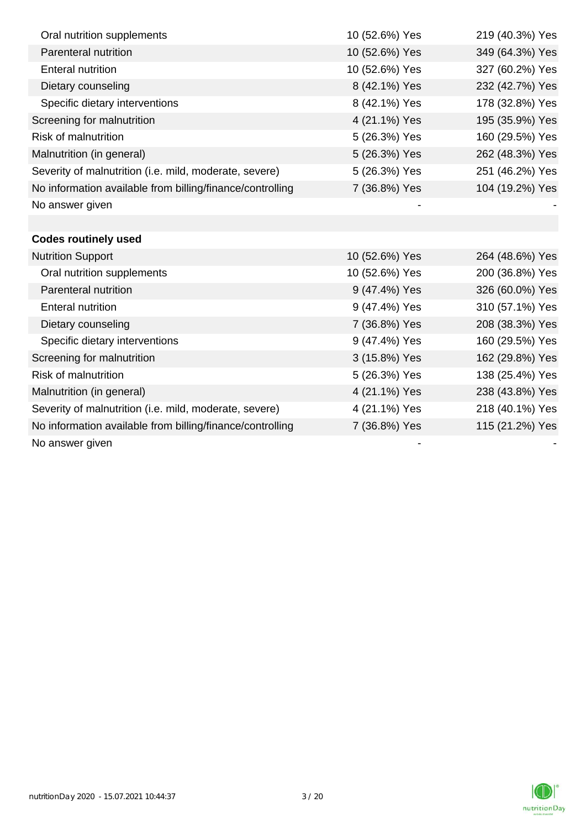| Oral nutrition supplements                                | 10 (52.6%) Yes | 219 (40.3%) Yes |
|-----------------------------------------------------------|----------------|-----------------|
| Parenteral nutrition                                      | 10 (52.6%) Yes | 349 (64.3%) Yes |
| <b>Enteral nutrition</b>                                  | 10 (52.6%) Yes | 327 (60.2%) Yes |
| Dietary counseling                                        | 8 (42.1%) Yes  | 232 (42.7%) Yes |
| Specific dietary interventions                            | 8 (42.1%) Yes  | 178 (32.8%) Yes |
| Screening for malnutrition                                | 4 (21.1%) Yes  | 195 (35.9%) Yes |
| Risk of malnutrition                                      | 5 (26.3%) Yes  | 160 (29.5%) Yes |
| Malnutrition (in general)                                 | 5 (26.3%) Yes  | 262 (48.3%) Yes |
| Severity of malnutrition (i.e. mild, moderate, severe)    | 5 (26.3%) Yes  | 251 (46.2%) Yes |
| No information available from billing/finance/controlling | 7 (36.8%) Yes  | 104 (19.2%) Yes |
| No answer given                                           |                |                 |
|                                                           |                |                 |
| <b>Codes routinely used</b>                               |                |                 |
| <b>Nutrition Support</b>                                  | 10 (52.6%) Yes | 264 (48.6%) Yes |
| Oral nutrition supplements                                | 10 (52.6%) Yes | 200 (36.8%) Yes |
| Parenteral nutrition                                      | 9 (47.4%) Yes  | 326 (60.0%) Yes |
| <b>Enteral nutrition</b>                                  | 9 (47.4%) Yes  | 310 (57.1%) Yes |
| Dietary counseling                                        | 7 (36.8%) Yes  | 208 (38.3%) Yes |
| Specific dietary interventions                            | 9 (47.4%) Yes  | 160 (29.5%) Yes |
| Screening for malnutrition                                | 3 (15.8%) Yes  | 162 (29.8%) Yes |
| <b>Risk of malnutrition</b>                               | 5 (26.3%) Yes  | 138 (25.4%) Yes |
| Malnutrition (in general)                                 | 4 (21.1%) Yes  | 238 (43.8%) Yes |
| Severity of malnutrition (i.e. mild, moderate, severe)    | 4 (21.1%) Yes  | 218 (40.1%) Yes |
| No information available from billing/finance/controlling | 7 (36.8%) Yes  | 115 (21.2%) Yes |
| No answer given                                           |                |                 |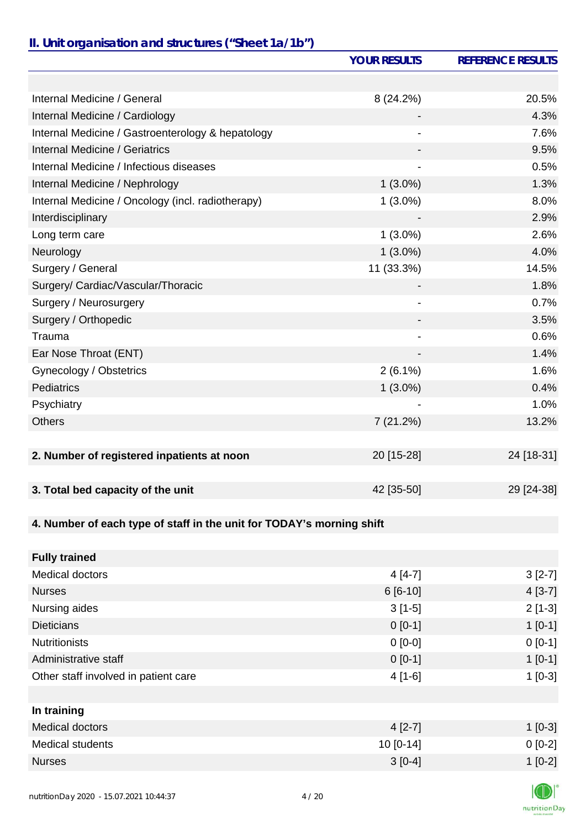# *II. Unit organisation and structures ("Sheet 1a/1b")*

|                                                                       | <b>YOUR RESULTS</b> | <b>REFERENCE RESULTS</b> |
|-----------------------------------------------------------------------|---------------------|--------------------------|
|                                                                       |                     |                          |
| Internal Medicine / General                                           | 8 (24.2%)           | 20.5%                    |
| Internal Medicine / Cardiology                                        |                     | 4.3%                     |
| Internal Medicine / Gastroenterology & hepatology                     |                     | 7.6%                     |
| <b>Internal Medicine / Geriatrics</b>                                 |                     | 9.5%                     |
| Internal Medicine / Infectious diseases                               |                     | 0.5%                     |
| Internal Medicine / Nephrology                                        | $1(3.0\%)$          | 1.3%                     |
| Internal Medicine / Oncology (incl. radiotherapy)                     | $1(3.0\%)$          | 8.0%                     |
| Interdisciplinary                                                     |                     | 2.9%                     |
| Long term care                                                        | $1(3.0\%)$          | 2.6%                     |
| Neurology                                                             | $1(3.0\%)$          | 4.0%                     |
| Surgery / General                                                     | 11 (33.3%)          | 14.5%                    |
| Surgery/ Cardiac/Vascular/Thoracic                                    |                     | 1.8%                     |
| Surgery / Neurosurgery                                                |                     | 0.7%                     |
| Surgery / Orthopedic                                                  |                     | 3.5%                     |
| Trauma                                                                | -                   | 0.6%                     |
| Ear Nose Throat (ENT)                                                 |                     | 1.4%                     |
| Gynecology / Obstetrics                                               | $2(6.1\%)$          | 1.6%                     |
| <b>Pediatrics</b>                                                     | $1(3.0\%)$          | 0.4%                     |
| Psychiatry                                                            |                     | 1.0%                     |
| <b>Others</b>                                                         | 7 (21.2%)           | 13.2%                    |
|                                                                       |                     |                          |
| 2. Number of registered inpatients at noon                            | 20 [15-28]          | 24 [18-31]               |
|                                                                       |                     |                          |
| 3. Total bed capacity of the unit                                     | 42 [35-50]          | 29 [24-38]               |
|                                                                       |                     |                          |
| 4. Number of each type of staff in the unit for TODAY's morning shift |                     |                          |
|                                                                       |                     |                          |
| <b>Fully trained</b>                                                  |                     |                          |
| Medical doctors                                                       | $4[4-7]$            | $3[2-7]$                 |
| <b>Nurses</b>                                                         | 6 [6-10]            | $4[3-7]$                 |
| Nursing aides                                                         | $3[1-5]$            | $2[1-3]$                 |
| <b>Dieticians</b>                                                     | $0[0-1]$            | $1[0-1]$                 |
| <b>Nutritionists</b>                                                  | $0 [0-0]$           | $0[0-1]$                 |
| Administrative staff                                                  | $0[0-1]$            | $1[0-1]$                 |
| Other staff involved in patient care                                  | $4[1-6]$            | $1[0-3]$                 |
|                                                                       |                     |                          |
| In training                                                           |                     |                          |
| Medical doctors                                                       | $4[2-7]$            | $1[0-3]$                 |
| Medical students                                                      | 10 [0-14]           | $0[0-2]$                 |
| <b>Nurses</b>                                                         | $3[0-4]$            | $1[0-2]$                 |

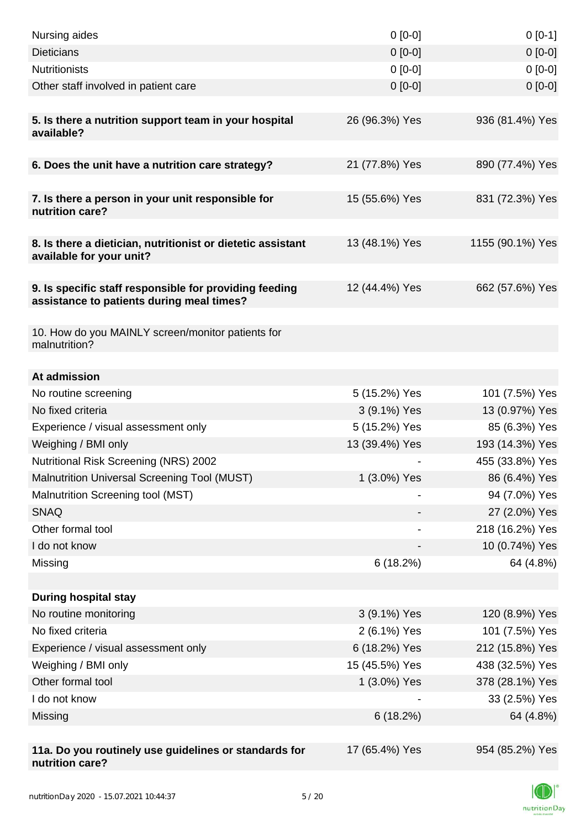| Nursing aides                                                                                       | $0 [0-0]$      | $0[0-1]$         |
|-----------------------------------------------------------------------------------------------------|----------------|------------------|
| <b>Dieticians</b>                                                                                   | $0 [0-0]$      | $0[0-0]$         |
| <b>Nutritionists</b>                                                                                | $0 [0-0]$      | $0[0-0]$         |
| Other staff involved in patient care                                                                | $0 [0-0]$      | $0 [0-0]$        |
|                                                                                                     |                |                  |
| 5. Is there a nutrition support team in your hospital<br>available?                                 | 26 (96.3%) Yes | 936 (81.4%) Yes  |
|                                                                                                     |                |                  |
| 6. Does the unit have a nutrition care strategy?                                                    | 21 (77.8%) Yes | 890 (77.4%) Yes  |
| 7. Is there a person in your unit responsible for<br>nutrition care?                                | 15 (55.6%) Yes | 831 (72.3%) Yes  |
| 8. Is there a dietician, nutritionist or dietetic assistant<br>available for your unit?             | 13 (48.1%) Yes | 1155 (90.1%) Yes |
| 9. Is specific staff responsible for providing feeding<br>assistance to patients during meal times? | 12 (44.4%) Yes | 662 (57.6%) Yes  |
| 10. How do you MAINLY screen/monitor patients for<br>malnutrition?                                  |                |                  |
| At admission                                                                                        |                |                  |
| No routine screening                                                                                | 5 (15.2%) Yes  | 101 (7.5%) Yes   |
| No fixed criteria                                                                                   | 3 (9.1%) Yes   | 13 (0.97%) Yes   |
| Experience / visual assessment only                                                                 | 5 (15.2%) Yes  | 85 (6.3%) Yes    |
| Weighing / BMI only                                                                                 | 13 (39.4%) Yes | 193 (14.3%) Yes  |
| <b>Nutritional Risk Screening (NRS) 2002</b>                                                        |                | 455 (33.8%) Yes  |
| Malnutrition Universal Screening Tool (MUST)                                                        | 1 (3.0%) Yes   | 86 (6.4%) Yes    |
| Malnutrition Screening tool (MST)                                                                   |                | 94 (7.0%) Yes    |
| <b>SNAQ</b>                                                                                         |                | 27 (2.0%) Yes    |
| Other formal tool                                                                                   |                | 218 (16.2%) Yes  |
| I do not know                                                                                       |                | 10 (0.74%) Yes   |
| Missing                                                                                             | 6(18.2%)       | 64 (4.8%)        |
|                                                                                                     |                |                  |
| <b>During hospital stay</b>                                                                         |                |                  |
| No routine monitoring                                                                               | 3 (9.1%) Yes   | 120 (8.9%) Yes   |
| No fixed criteria                                                                                   | 2 (6.1%) Yes   | 101 (7.5%) Yes   |
| Experience / visual assessment only                                                                 | 6 (18.2%) Yes  | 212 (15.8%) Yes  |
| Weighing / BMI only                                                                                 | 15 (45.5%) Yes | 438 (32.5%) Yes  |
| Other formal tool                                                                                   | 1 (3.0%) Yes   | 378 (28.1%) Yes  |
| I do not know                                                                                       |                | 33 (2.5%) Yes    |
| Missing                                                                                             | 6(18.2%)       | 64 (4.8%)        |
|                                                                                                     |                |                  |
| 11a. Do you routinely use guidelines or standards for<br>nutrition care?                            | 17 (65.4%) Yes | 954 (85.2%) Yes  |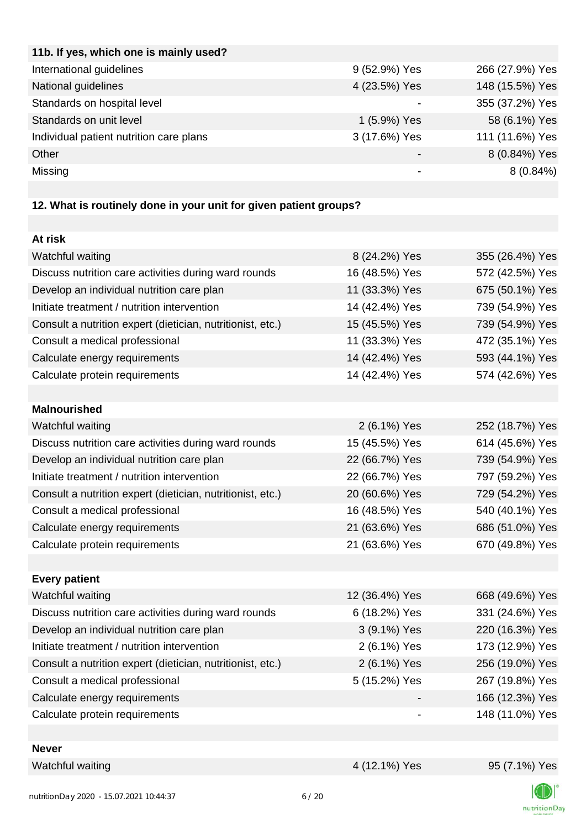| 9 (52.9%) Yes | 266 (27.9%) Yes |
|---------------|-----------------|
| 4 (23.5%) Yes | 148 (15.5%) Yes |
|               | 355 (37.2%) Yes |
| 1 (5.9%) Yes  | 58 (6.1%) Yes   |
| 3 (17.6%) Yes | 111 (11.6%) Yes |
|               | 8 (0.84%) Yes   |
|               | $8(0.84\%)$     |
|               |                 |

## **12. What is routinely done in your unit for given patient groups?**

| At risk                                                    |                |                 |
|------------------------------------------------------------|----------------|-----------------|
| Watchful waiting                                           | 8 (24.2%) Yes  | 355 (26.4%) Yes |
| Discuss nutrition care activities during ward rounds       | 16 (48.5%) Yes | 572 (42.5%) Yes |
| Develop an individual nutrition care plan                  | 11 (33.3%) Yes | 675 (50.1%) Yes |
| Initiate treatment / nutrition intervention                | 14 (42.4%) Yes | 739 (54.9%) Yes |
| Consult a nutrition expert (dietician, nutritionist, etc.) | 15 (45.5%) Yes | 739 (54.9%) Yes |
| Consult a medical professional                             | 11 (33.3%) Yes | 472 (35.1%) Yes |
| Calculate energy requirements                              | 14 (42.4%) Yes | 593 (44.1%) Yes |
| Calculate protein requirements                             | 14 (42.4%) Yes | 574 (42.6%) Yes |
|                                                            |                |                 |
| <b>Malnourished</b>                                        |                |                 |
| Watchful waiting                                           | 2 (6.1%) Yes   | 252 (18.7%) Yes |
| Discuss nutrition care activities during ward rounds       | 15 (45.5%) Yes | 614 (45.6%) Yes |
| Develop an individual nutrition care plan                  | 22 (66.7%) Yes | 739 (54.9%) Yes |
| Initiate treatment / nutrition intervention                | 22 (66.7%) Yes | 797 (59.2%) Yes |
| Consult a nutrition expert (dietician, nutritionist, etc.) | 20 (60.6%) Yes | 729 (54.2%) Yes |
| Consult a medical professional                             | 16 (48.5%) Yes | 540 (40.1%) Yes |
| Calculate energy requirements                              | 21 (63.6%) Yes | 686 (51.0%) Yes |
| Calculate protein requirements                             | 21 (63.6%) Yes | 670 (49.8%) Yes |
|                                                            |                |                 |
| <b>Every patient</b>                                       |                |                 |
| Watchful waiting                                           | 12 (36.4%) Yes | 668 (49.6%) Yes |
| Discuss nutrition care activities during ward rounds       | 6 (18.2%) Yes  | 331 (24.6%) Yes |
| Develop an individual nutrition care plan                  | 3 (9.1%) Yes   | 220 (16.3%) Yes |
| Initiate treatment / nutrition intervention                | 2 (6.1%) Yes   | 173 (12.9%) Yes |
| Consult a nutrition expert (dietician, nutritionist, etc.) | 2 (6.1%) Yes   | 256 (19.0%) Yes |
| Consult a medical professional                             | 5 (15.2%) Yes  | 267 (19.8%) Yes |
| Calculate energy requirements                              |                | 166 (12.3%) Yes |
| Calculate protein requirements                             |                | 148 (11.0%) Yes |
|                                                            |                |                 |
| Novor                                                      |                |                 |

|  | <b>Nevel</b> |  |  |  |
|--|--------------|--|--|--|
|  |              |  |  |  |

Watchful waiting  $4 (12.1\%)$  Yes  $95 (7.1\%)$  Yes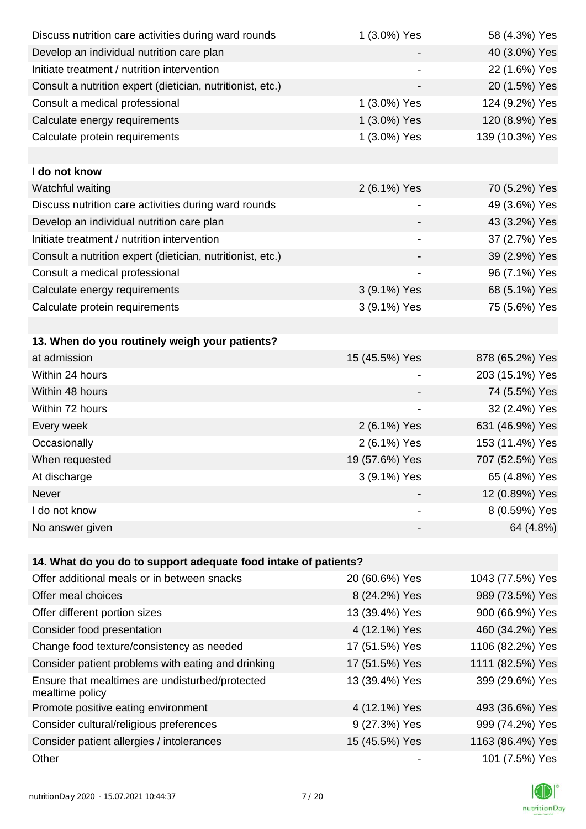| Discuss nutrition care activities during ward rounds               | 1 (3.0%) Yes             | 58 (4.3%) Yes    |
|--------------------------------------------------------------------|--------------------------|------------------|
| Develop an individual nutrition care plan                          |                          | 40 (3.0%) Yes    |
| Initiate treatment / nutrition intervention                        |                          | 22 (1.6%) Yes    |
| Consult a nutrition expert (dietician, nutritionist, etc.)         |                          | 20 (1.5%) Yes    |
| Consult a medical professional                                     | 1 (3.0%) Yes             | 124 (9.2%) Yes   |
| Calculate energy requirements                                      | 1 (3.0%) Yes             | 120 (8.9%) Yes   |
| Calculate protein requirements                                     | 1 (3.0%) Yes             | 139 (10.3%) Yes  |
|                                                                    |                          |                  |
| I do not know                                                      |                          |                  |
| Watchful waiting                                                   | 2 (6.1%) Yes             | 70 (5.2%) Yes    |
| Discuss nutrition care activities during ward rounds               |                          | 49 (3.6%) Yes    |
| Develop an individual nutrition care plan                          |                          | 43 (3.2%) Yes    |
| Initiate treatment / nutrition intervention                        |                          | 37 (2.7%) Yes    |
| Consult a nutrition expert (dietician, nutritionist, etc.)         |                          | 39 (2.9%) Yes    |
| Consult a medical professional                                     |                          | 96 (7.1%) Yes    |
| Calculate energy requirements                                      | 3 (9.1%) Yes             | 68 (5.1%) Yes    |
| Calculate protein requirements                                     | 3 (9.1%) Yes             | 75 (5.6%) Yes    |
|                                                                    |                          |                  |
| 13. When do you routinely weigh your patients?                     |                          |                  |
| at admission                                                       | 15 (45.5%) Yes           | 878 (65.2%) Yes  |
| Within 24 hours                                                    |                          | 203 (15.1%) Yes  |
| Within 48 hours                                                    |                          | 74 (5.5%) Yes    |
| Within 72 hours                                                    | $\overline{\phantom{a}}$ | 32 (2.4%) Yes    |
| Every week                                                         | 2 (6.1%) Yes             | 631 (46.9%) Yes  |
| Occasionally                                                       | 2 (6.1%) Yes             | 153 (11.4%) Yes  |
| When requested                                                     | 19 (57.6%) Yes           | 707 (52.5%) Yes  |
| At discharge                                                       | 3 (9.1%) Yes             | 65 (4.8%) Yes    |
| Never                                                              |                          | 12 (0.89%) Yes   |
| I do not know                                                      |                          | 8 (0.59%) Yes    |
| No answer given                                                    |                          | 64 (4.8%)        |
|                                                                    |                          |                  |
| 14. What do you do to support adequate food intake of patients?    |                          |                  |
| Offer additional meals or in between snacks                        | 20 (60.6%) Yes           | 1043 (77.5%) Yes |
| Offer meal choices                                                 | 8 (24.2%) Yes            | 989 (73.5%) Yes  |
| Offer different portion sizes                                      | 13 (39.4%) Yes           | 900 (66.9%) Yes  |
| Consider food presentation                                         | 4 (12.1%) Yes            | 460 (34.2%) Yes  |
| Change food texture/consistency as needed                          | 17 (51.5%) Yes           | 1106 (82.2%) Yes |
| Consider patient problems with eating and drinking                 | 17 (51.5%) Yes           | 1111 (82.5%) Yes |
| Ensure that mealtimes are undisturbed/protected<br>mealtime policy | 13 (39.4%) Yes           | 399 (29.6%) Yes  |
| Promote positive eating environment                                | 4 (12.1%) Yes            | 493 (36.6%) Yes  |
| Consider cultural/religious preferences                            | 9 (27.3%) Yes            | 999 (74.2%) Yes  |
| Consider patient allergies / intolerances                          | 15 (45.5%) Yes           | 1163 (86.4%) Yes |
| Other                                                              |                          | 101 (7.5%) Yes   |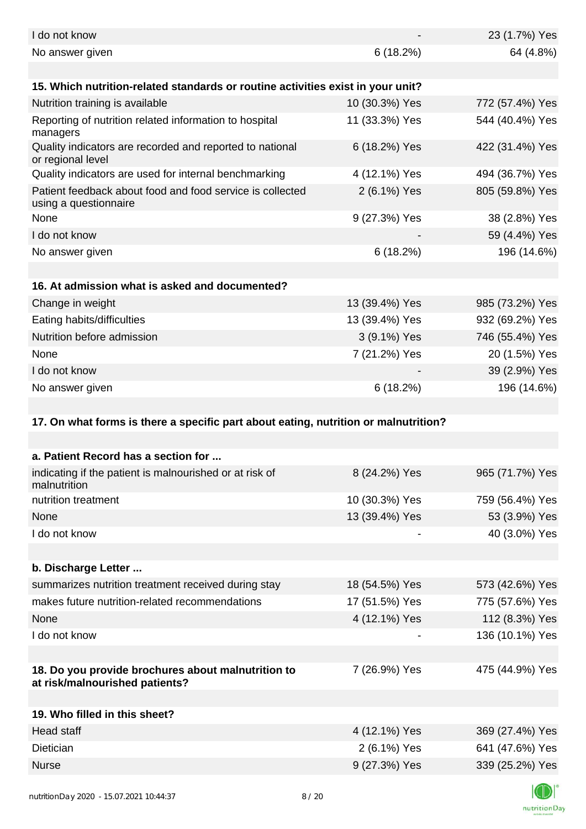| I do not know                                                                        |                | 23 (1.7%) Yes   |
|--------------------------------------------------------------------------------------|----------------|-----------------|
| No answer given                                                                      | 6(18.2%)       | 64 (4.8%)       |
| 15. Which nutrition-related standards or routine activities exist in your unit?      |                |                 |
| Nutrition training is available                                                      | 10 (30.3%) Yes | 772 (57.4%) Yes |
| Reporting of nutrition related information to hospital<br>managers                   | 11 (33.3%) Yes | 544 (40.4%) Yes |
| Quality indicators are recorded and reported to national<br>or regional level        | 6 (18.2%) Yes  | 422 (31.4%) Yes |
| Quality indicators are used for internal benchmarking                                | 4 (12.1%) Yes  | 494 (36.7%) Yes |
| Patient feedback about food and food service is collected<br>using a questionnaire   | 2 (6.1%) Yes   | 805 (59.8%) Yes |
| None                                                                                 | 9 (27.3%) Yes  | 38 (2.8%) Yes   |
| I do not know                                                                        |                | 59 (4.4%) Yes   |
| No answer given                                                                      | 6(18.2%)       | 196 (14.6%)     |
|                                                                                      |                |                 |
| 16. At admission what is asked and documented?                                       |                |                 |
| Change in weight                                                                     | 13 (39.4%) Yes | 985 (73.2%) Yes |
| Eating habits/difficulties                                                           | 13 (39.4%) Yes | 932 (69.2%) Yes |
| Nutrition before admission                                                           | 3 (9.1%) Yes   | 746 (55.4%) Yes |
| None                                                                                 | 7 (21.2%) Yes  | 20 (1.5%) Yes   |
| I do not know                                                                        |                | 39 (2.9%) Yes   |
| No answer given                                                                      | 6(18.2%)       | 196 (14.6%)     |
|                                                                                      |                |                 |
|                                                                                      |                |                 |
| 17. On what forms is there a specific part about eating, nutrition or malnutrition?  |                |                 |
|                                                                                      |                |                 |
| a. Patient Record has a section for                                                  |                |                 |
| indicating if the patient is malnourished or at risk of<br>malnutrition              | 8 (24.2%) Yes  | 965 (71.7%) Yes |
| nutrition treatment                                                                  | 10 (30.3%) Yes | 759 (56.4%) Yes |
| None                                                                                 | 13 (39.4%) Yes | 53 (3.9%) Yes   |
| I do not know                                                                        |                | 40 (3.0%) Yes   |
| b. Discharge Letter                                                                  |                |                 |
| summarizes nutrition treatment received during stay                                  | 18 (54.5%) Yes | 573 (42.6%) Yes |
| makes future nutrition-related recommendations                                       |                |                 |
| None                                                                                 | 17 (51.5%) Yes | 775 (57.6%) Yes |
|                                                                                      | 4 (12.1%) Yes  | 112 (8.3%) Yes  |
| I do not know                                                                        |                | 136 (10.1%) Yes |
| 18. Do you provide brochures about malnutrition to<br>at risk/malnourished patients? | 7 (26.9%) Yes  | 475 (44.9%) Yes |
|                                                                                      |                |                 |
| 19. Who filled in this sheet?                                                        |                |                 |
| Head staff                                                                           | 4 (12.1%) Yes  | 369 (27.4%) Yes |
| Dietician                                                                            | 2 (6.1%) Yes   | 641 (47.6%) Yes |
| <b>Nurse</b>                                                                         | 9 (27.3%) Yes  | 339 (25.2%) Yes |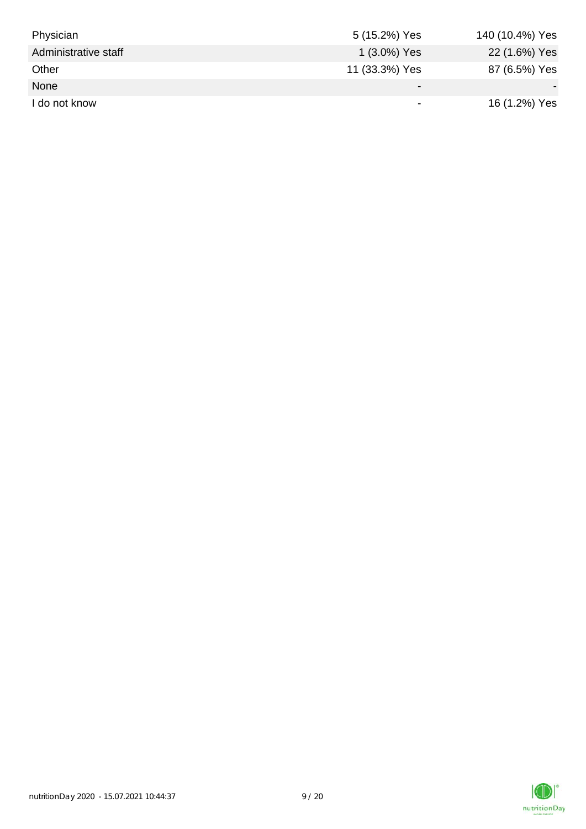| Physician            | 5 (15.2%) Yes            | 140 (10.4%) Yes |
|----------------------|--------------------------|-----------------|
| Administrative staff | 1 (3.0%) Yes             | 22 (1.6%) Yes   |
| Other                | 11 (33.3%) Yes           | 87 (6.5%) Yes   |
| None                 | $\overline{\phantom{0}}$ |                 |
| I do not know        | $\,$                     | 16 (1.2%) Yes   |

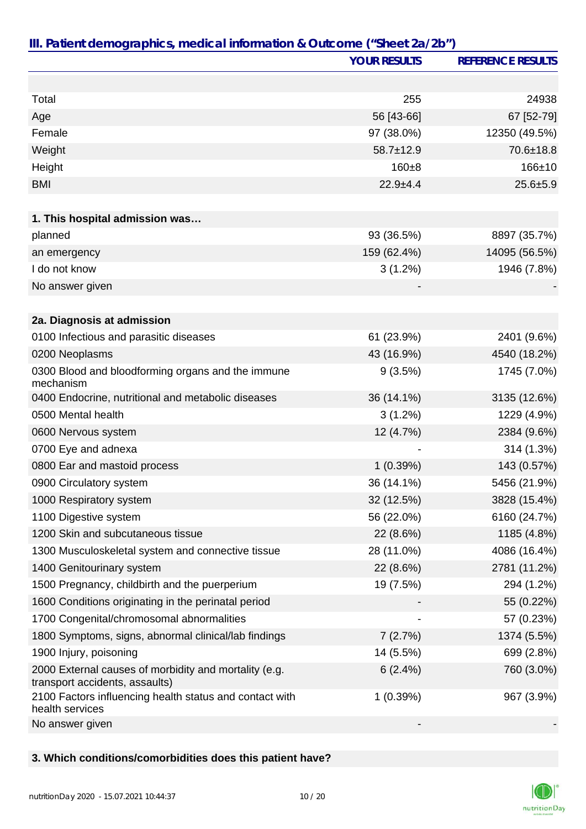|                                                                                         | <b>YOUR RESULTS</b> | <b>REFERENCE RESULTS</b> |
|-----------------------------------------------------------------------------------------|---------------------|--------------------------|
|                                                                                         |                     |                          |
| Total                                                                                   | 255                 | 24938                    |
| Age                                                                                     | 56 [43-66]          | 67 [52-79]               |
| Female                                                                                  | 97 (38.0%)          | 12350 (49.5%)            |
| Weight                                                                                  | $58.7 \pm 12.9$     | 70.6±18.8                |
| Height                                                                                  | $160 + 8$           | $166 + 10$               |
| <b>BMI</b>                                                                              | $22.9 + 4.4$        | $25.6 + 5.9$             |
|                                                                                         |                     |                          |
| 1. This hospital admission was                                                          |                     |                          |
| planned                                                                                 | 93 (36.5%)          | 8897 (35.7%)             |
| an emergency                                                                            | 159 (62.4%)         | 14095 (56.5%)            |
| I do not know                                                                           | $3(1.2\%)$          | 1946 (7.8%)              |
| No answer given                                                                         |                     |                          |
|                                                                                         |                     |                          |
| 2a. Diagnosis at admission                                                              |                     |                          |
| 0100 Infectious and parasitic diseases                                                  | 61 (23.9%)          | 2401 (9.6%)              |
| 0200 Neoplasms                                                                          | 43 (16.9%)          | 4540 (18.2%)             |
| 0300 Blood and bloodforming organs and the immune<br>mechanism                          | 9(3.5%)             | 1745 (7.0%)              |
| 0400 Endocrine, nutritional and metabolic diseases                                      | 36 (14.1%)          | 3135 (12.6%)             |
| 0500 Mental health                                                                      | $3(1.2\%)$          | 1229 (4.9%)              |
| 0600 Nervous system                                                                     | 12 (4.7%)           | 2384 (9.6%)              |
| 0700 Eye and adnexa                                                                     |                     | 314 (1.3%)               |
| 0800 Ear and mastoid process                                                            | 1(0.39%)            | 143 (0.57%)              |
| 0900 Circulatory system                                                                 | 36 (14.1%)          | 5456 (21.9%)             |
| 1000 Respiratory system                                                                 | 32 (12.5%)          | 3828 (15.4%)             |
| 1100 Digestive system                                                                   | 56 (22.0%)          | 6160 (24.7%)             |
| 1200 Skin and subcutaneous tissue                                                       | 22 (8.6%)           | 1185 (4.8%)              |
| 1300 Musculoskeletal system and connective tissue                                       | 28 (11.0%)          | 4086 (16.4%)             |
| 1400 Genitourinary system                                                               | 22 (8.6%)           | 2781 (11.2%)             |
| 1500 Pregnancy, childbirth and the puerperium                                           | 19 (7.5%)           | 294 (1.2%)               |
| 1600 Conditions originating in the perinatal period                                     |                     | 55 (0.22%)               |
| 1700 Congenital/chromosomal abnormalities                                               |                     | 57 (0.23%)               |
| 1800 Symptoms, signs, abnormal clinical/lab findings                                    | 7(2.7%)             | 1374 (5.5%)              |
| 1900 Injury, poisoning                                                                  | 14 (5.5%)           | 699 (2.8%)               |
| 2000 External causes of morbidity and mortality (e.g.<br>transport accidents, assaults) | 6(2.4%)             | 760 (3.0%)               |
| 2100 Factors influencing health status and contact with<br>health services              | 1(0.39%)            | 967 (3.9%)               |
| No answer given                                                                         |                     |                          |

### **3. Which conditions/comorbidities does this patient have?**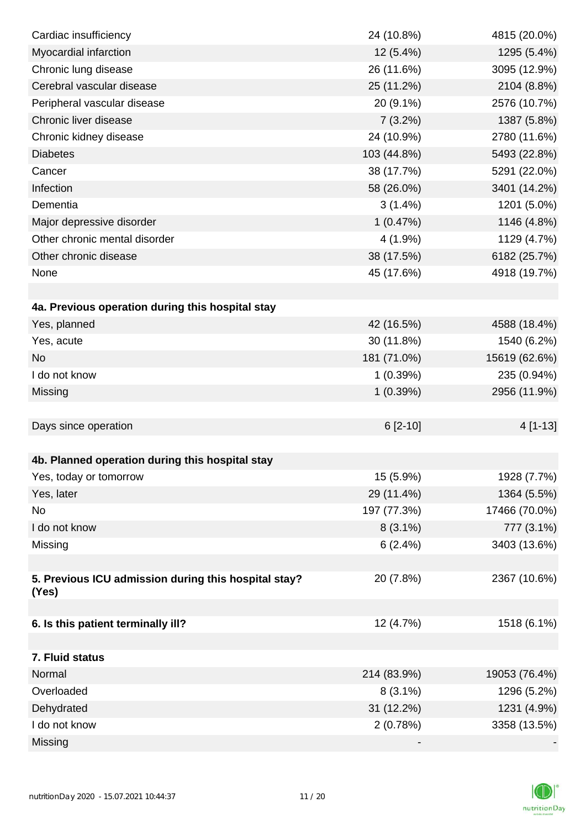| Cardiac insufficiency                                | 24 (10.8%)  | 4815 (20.0%)  |
|------------------------------------------------------|-------------|---------------|
| Myocardial infarction                                | 12 (5.4%)   | 1295 (5.4%)   |
| Chronic lung disease                                 | 26 (11.6%)  | 3095 (12.9%)  |
| Cerebral vascular disease                            | 25 (11.2%)  | 2104 (8.8%)   |
| Peripheral vascular disease                          | 20 (9.1%)   | 2576 (10.7%)  |
| Chronic liver disease                                | 7(3.2%)     | 1387 (5.8%)   |
| Chronic kidney disease                               | 24 (10.9%)  | 2780 (11.6%)  |
| <b>Diabetes</b>                                      | 103 (44.8%) | 5493 (22.8%)  |
| Cancer                                               | 38 (17.7%)  | 5291 (22.0%)  |
| Infection                                            | 58 (26.0%)  | 3401 (14.2%)  |
| Dementia                                             | $3(1.4\%)$  | 1201 (5.0%)   |
| Major depressive disorder                            | 1(0.47%)    | 1146 (4.8%)   |
| Other chronic mental disorder                        | $4(1.9\%)$  | 1129 (4.7%)   |
| Other chronic disease                                | 38 (17.5%)  | 6182 (25.7%)  |
| None                                                 | 45 (17.6%)  | 4918 (19.7%)  |
|                                                      |             |               |
| 4a. Previous operation during this hospital stay     |             |               |
| Yes, planned                                         | 42 (16.5%)  | 4588 (18.4%)  |
| Yes, acute                                           | 30 (11.8%)  | 1540 (6.2%)   |
| <b>No</b>                                            | 181 (71.0%) | 15619 (62.6%) |
| I do not know                                        | 1(0.39%)    | 235 (0.94%)   |
| Missing                                              | 1(0.39%)    | 2956 (11.9%)  |
|                                                      |             |               |
| Days since operation                                 | $6[2-10]$   | 4 [1-13]      |
|                                                      |             |               |
| 4b. Planned operation during this hospital stay      |             |               |
| Yes, today or tomorrow                               | 15 (5.9%)   | 1928 (7.7%)   |
| Yes, later                                           | 29 (11.4%)  | 1364 (5.5%)   |
| No                                                   | 197 (77.3%) | 17466 (70.0%) |
| I do not know                                        | $8(3.1\%)$  | 777 (3.1%)    |
| Missing                                              | 6(2.4%)     | 3403 (13.6%)  |
|                                                      |             |               |
| 5. Previous ICU admission during this hospital stay? | 20 (7.8%)   | 2367 (10.6%)  |
| (Yes)                                                |             |               |
|                                                      |             |               |
| 6. Is this patient terminally ill?                   | 12 (4.7%)   | 1518 (6.1%)   |
|                                                      |             |               |
| 7. Fluid status                                      |             |               |
| Normal                                               | 214 (83.9%) | 19053 (76.4%) |
| Overloaded                                           | $8(3.1\%)$  | 1296 (5.2%)   |
| Dehydrated                                           | 31 (12.2%)  | 1231 (4.9%)   |
| I do not know                                        | 2(0.78%)    | 3358 (13.5%)  |
| Missing                                              |             |               |

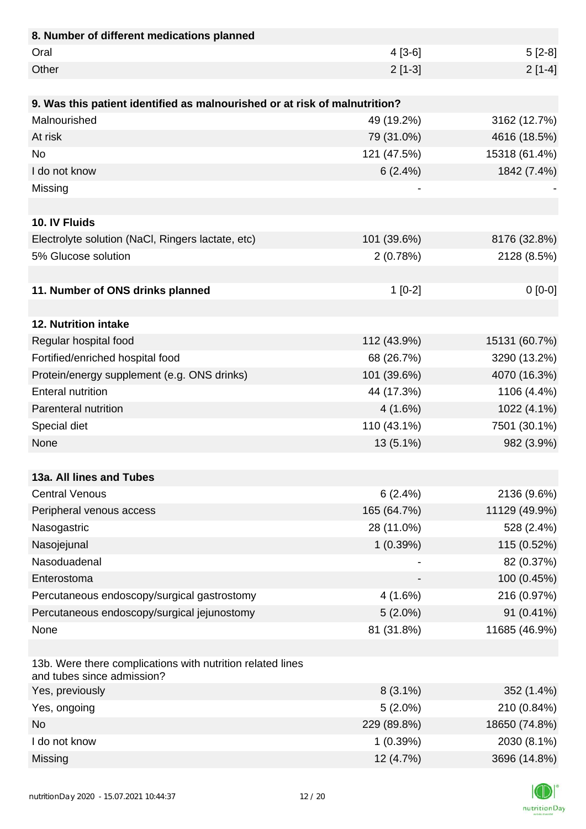| 8. Number of different medications planned                                               |             |               |
|------------------------------------------------------------------------------------------|-------------|---------------|
| Oral                                                                                     | $4[3-6]$    | $5[2-8]$      |
| Other                                                                                    | $2[1-3]$    | $2[1-4]$      |
|                                                                                          |             |               |
| 9. Was this patient identified as malnourished or at risk of malnutrition?               |             |               |
| Malnourished                                                                             | 49 (19.2%)  | 3162 (12.7%)  |
| At risk                                                                                  | 79 (31.0%)  | 4616 (18.5%)  |
| <b>No</b>                                                                                | 121 (47.5%) | 15318 (61.4%) |
| I do not know                                                                            | 6(2.4%)     | 1842 (7.4%)   |
| Missing                                                                                  |             |               |
|                                                                                          |             |               |
| 10. IV Fluids                                                                            |             |               |
| Electrolyte solution (NaCl, Ringers lactate, etc)                                        | 101 (39.6%) | 8176 (32.8%)  |
| 5% Glucose solution                                                                      | 2(0.78%)    | 2128 (8.5%)   |
|                                                                                          |             |               |
| 11. Number of ONS drinks planned                                                         | $1$ [0-2]   | $0[0-0]$      |
|                                                                                          |             |               |
| 12. Nutrition intake                                                                     |             |               |
| Regular hospital food                                                                    | 112 (43.9%) | 15131 (60.7%) |
| Fortified/enriched hospital food                                                         | 68 (26.7%)  | 3290 (13.2%)  |
| Protein/energy supplement (e.g. ONS drinks)                                              | 101 (39.6%) | 4070 (16.3%)  |
| <b>Enteral nutrition</b>                                                                 | 44 (17.3%)  | 1106 (4.4%)   |
| Parenteral nutrition                                                                     | 4(1.6%)     | 1022 (4.1%)   |
| Special diet                                                                             | 110 (43.1%) | 7501 (30.1%)  |
| None                                                                                     | 13 (5.1%)   | 982 (3.9%)    |
|                                                                                          |             |               |
| 13a. All lines and Tubes                                                                 |             |               |
| <b>Central Venous</b>                                                                    | 6(2.4%)     | 2136 (9.6%)   |
| Peripheral venous access                                                                 | 165 (64.7%) | 11129 (49.9%) |
| Nasogastric                                                                              | 28 (11.0%)  | 528 (2.4%)    |
| Nasojejunal                                                                              | 1(0.39%)    | 115 (0.52%)   |
| Nasoduadenal                                                                             |             | 82 (0.37%)    |
| Enterostoma                                                                              |             | 100 (0.45%)   |
| Percutaneous endoscopy/surgical gastrostomy                                              | 4(1.6%)     | 216 (0.97%)   |
| Percutaneous endoscopy/surgical jejunostomy                                              | $5(2.0\%)$  | 91 (0.41%)    |
| None                                                                                     | 81 (31.8%)  | 11685 (46.9%) |
|                                                                                          |             |               |
| 13b. Were there complications with nutrition related lines<br>and tubes since admission? |             |               |
| Yes, previously                                                                          | $8(3.1\%)$  | 352 (1.4%)    |
| Yes, ongoing                                                                             | $5(2.0\%)$  | 210 (0.84%)   |
| <b>No</b>                                                                                | 229 (89.8%) | 18650 (74.8%) |
| I do not know                                                                            | 1(0.39%)    | 2030 (8.1%)   |
| Missing                                                                                  | 12 (4.7%)   | 3696 (14.8%)  |

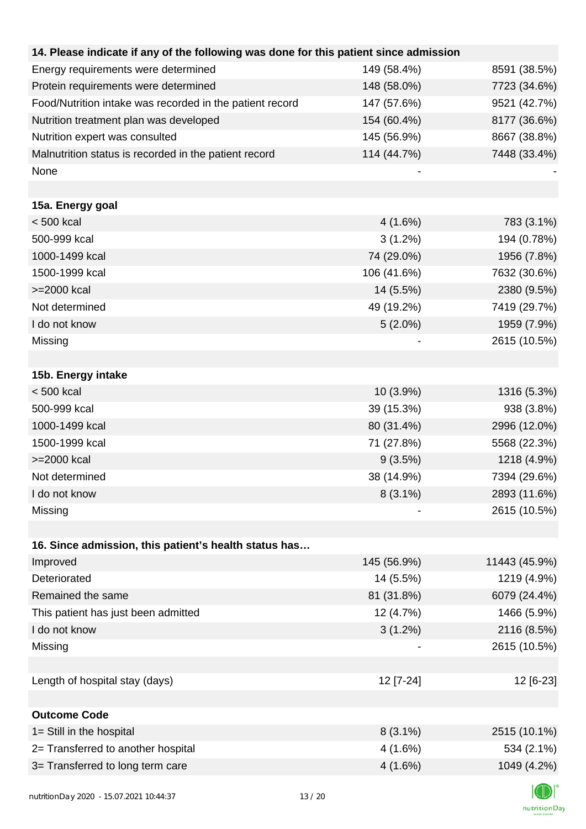| 14. Please indicate if any of the following was done for this patient since admission |             |               |
|---------------------------------------------------------------------------------------|-------------|---------------|
| Energy requirements were determined                                                   | 149 (58.4%) | 8591 (38.5%)  |
| Protein requirements were determined                                                  | 148 (58.0%) | 7723 (34.6%)  |
| Food/Nutrition intake was recorded in the patient record                              | 147 (57.6%) | 9521 (42.7%)  |
| Nutrition treatment plan was developed                                                | 154 (60.4%) | 8177 (36.6%)  |
| Nutrition expert was consulted                                                        | 145 (56.9%) | 8667 (38.8%)  |
| Malnutrition status is recorded in the patient record                                 | 114 (44.7%) | 7448 (33.4%)  |
| None                                                                                  |             |               |
|                                                                                       |             |               |
| 15a. Energy goal                                                                      |             |               |
| $< 500$ kcal                                                                          | 4(1.6%)     | 783 (3.1%)    |
| 500-999 kcal                                                                          | $3(1.2\%)$  | 194 (0.78%)   |
| 1000-1499 kcal                                                                        | 74 (29.0%)  | 1956 (7.8%)   |
| 1500-1999 kcal                                                                        | 106 (41.6%) | 7632 (30.6%)  |
| >=2000 kcal                                                                           | 14 (5.5%)   | 2380 (9.5%)   |
| Not determined                                                                        | 49 (19.2%)  | 7419 (29.7%)  |
| I do not know                                                                         | $5(2.0\%)$  | 1959 (7.9%)   |
| Missing                                                                               |             | 2615 (10.5%)  |
|                                                                                       |             |               |
| 15b. Energy intake                                                                    |             |               |
| $< 500$ kcal                                                                          | 10 (3.9%)   | 1316 (5.3%)   |
| 500-999 kcal                                                                          | 39 (15.3%)  | 938 (3.8%)    |
| 1000-1499 kcal                                                                        | 80 (31.4%)  | 2996 (12.0%)  |
| 1500-1999 kcal                                                                        | 71 (27.8%)  | 5568 (22.3%)  |
| >=2000 kcal                                                                           | 9(3.5%)     | 1218 (4.9%)   |
| Not determined                                                                        | 38 (14.9%)  | 7394 (29.6%)  |
| I do not know                                                                         | $8(3.1\%)$  | 2893 (11.6%)  |
| Missing                                                                               |             | 2615 (10.5%)  |
|                                                                                       |             |               |
| 16. Since admission, this patient's health status has                                 |             |               |
| Improved                                                                              | 145 (56.9%) | 11443 (45.9%) |
| Deteriorated                                                                          | 14 (5.5%)   | 1219 (4.9%)   |
| Remained the same                                                                     | 81 (31.8%)  | 6079 (24.4%)  |
| This patient has just been admitted                                                   | 12 (4.7%)   | 1466 (5.9%)   |
| I do not know                                                                         | $3(1.2\%)$  | 2116 (8.5%)   |
| Missing                                                                               |             | 2615 (10.5%)  |
|                                                                                       |             |               |
| Length of hospital stay (days)                                                        | 12 [7-24]   | 12 [6-23]     |
|                                                                                       |             |               |
| <b>Outcome Code</b>                                                                   |             |               |
| 1= Still in the hospital                                                              | $8(3.1\%)$  | 2515 (10.1%)  |
| 2= Transferred to another hospital                                                    | 4 (1.6%)    | 534 (2.1%)    |
| 3= Transferred to long term care                                                      | 4(1.6%)     | 1049 (4.2%)   |
|                                                                                       |             |               |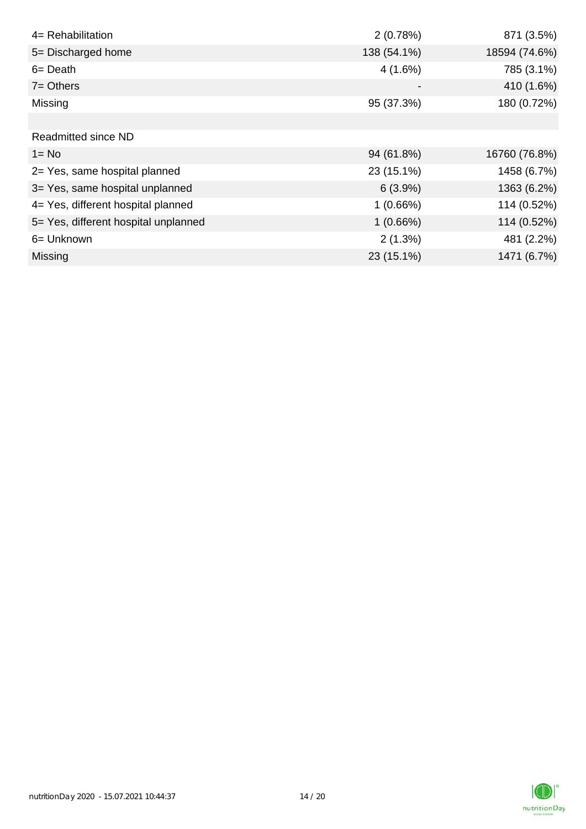| 4= Rehabilitation                    | 2(0.78%)    | 871 (3.5%)    |
|--------------------------------------|-------------|---------------|
| 5= Discharged home                   | 138 (54.1%) | 18594 (74.6%) |
| $6 = Death$                          | 4(1.6%)     | 785 (3.1%)    |
| $7 = Others$                         |             | 410 (1.6%)    |
| Missing                              | 95 (37.3%)  | 180 (0.72%)   |
|                                      |             |               |
| <b>Readmitted since ND</b>           |             |               |
| $1 = No$                             | 94 (61.8%)  | 16760 (76.8%) |
| 2= Yes, same hospital planned        | 23 (15.1%)  | 1458 (6.7%)   |
| 3= Yes, same hospital unplanned      | 6(3.9%)     | 1363 (6.2%)   |
| 4= Yes, different hospital planned   | 1(0.66%)    | 114 (0.52%)   |
| 5= Yes, different hospital unplanned | 1(0.66%)    | 114 (0.52%)   |
| 6= Unknown                           | 2(1.3%)     | 481 (2.2%)    |
| <b>Missing</b>                       | 23 (15.1%)  | 1471 (6.7%)   |

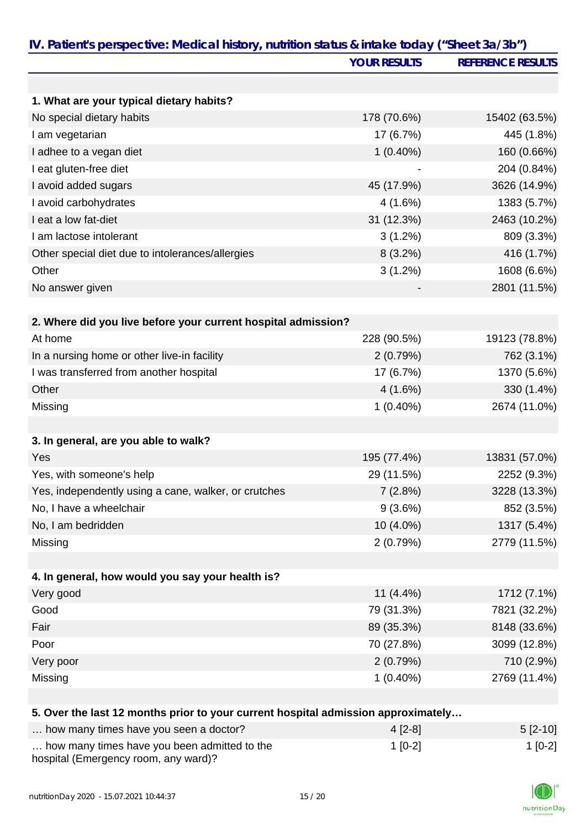|                                                                                   | <b>YOUR RESULTS</b> | <b>REFERENCE RESULTS</b> |
|-----------------------------------------------------------------------------------|---------------------|--------------------------|
|                                                                                   |                     |                          |
| 1. What are your typical dietary habits?                                          |                     |                          |
| No special dietary habits                                                         | 178 (70.6%)         | 15402 (63.5%)            |
| I am vegetarian                                                                   | 17 (6.7%)           | 445 (1.8%)               |
| I adhee to a vegan diet                                                           | $1(0.40\%)$         | 160 (0.66%)              |
| I eat gluten-free diet                                                            |                     | 204 (0.84%)              |
| I avoid added sugars                                                              | 45 (17.9%)          | 3626 (14.9%)             |
| I avoid carbohydrates                                                             | 4(1.6%)             | 1383 (5.7%)              |
| I eat a low fat-diet                                                              | 31 (12.3%)          | 2463 (10.2%)             |
| I am lactose intolerant                                                           | $3(1.2\%)$          | 809 (3.3%)               |
| Other special diet due to intolerances/allergies                                  | $8(3.2\%)$          | 416 (1.7%)               |
| Other                                                                             | $3(1.2\%)$          | 1608 (6.6%)              |
| No answer given                                                                   |                     | 2801 (11.5%)             |
| 2. Where did you live before your current hospital admission?                     |                     |                          |
| At home                                                                           | 228 (90.5%)         | 19123 (78.8%)            |
| In a nursing home or other live-in facility                                       | 2(0.79%)            | 762 (3.1%)               |
| I was transferred from another hospital                                           | 17 (6.7%)           | 1370 (5.6%)              |
| Other                                                                             | 4(1.6%)             | 330 (1.4%)               |
| Missing                                                                           | $1(0.40\%)$         | 2674 (11.0%)             |
|                                                                                   |                     |                          |
| 3. In general, are you able to walk?                                              |                     |                          |
| Yes                                                                               | 195 (77.4%)         | 13831 (57.0%)            |
| Yes, with someone's help                                                          | 29 (11.5%)          | 2252 (9.3%)              |
| Yes, independently using a cane, walker, or crutches                              | 7(2.8%)             | 3228 (13.3%)             |
| No, I have a wheelchair                                                           | 9(3.6%)             | 852 (3.5%)               |
| No, I am bedridden                                                                | 10 (4.0%)           | 1317 (5.4%)              |
| Missing                                                                           | 2(0.79%)            | 2779 (11.5%)             |
| 4. In general, how would you say your health is?                                  |                     |                          |
| Very good                                                                         | $11(4.4\%)$         | 1712 (7.1%)              |
| Good                                                                              | 79 (31.3%)          | 7821 (32.2%)             |
| Fair                                                                              | 89 (35.3%)          | 8148 (33.6%)             |
| Poor                                                                              | 70 (27.8%)          | 3099 (12.8%)             |
| Very poor                                                                         | 2(0.79%)            | 710 (2.9%)               |
| Missing                                                                           | $1(0.40\%)$         | 2769 (11.4%)             |
| 5. Over the last 12 months prior to your current hospital admission approximately |                     |                          |
| how many times have you seen a doctor?                                            | $A$ IO 01           | F <sub>10</sub> 101      |

| how many times have you seen a doctor?                                               | $4$ [2-8] | $5$ [2-10] |
|--------------------------------------------------------------------------------------|-----------|------------|
| how many times have you been admitted to the<br>hospital (Emergency room, any ward)? | $1$ [0-2] | $1$ [0-2]  |

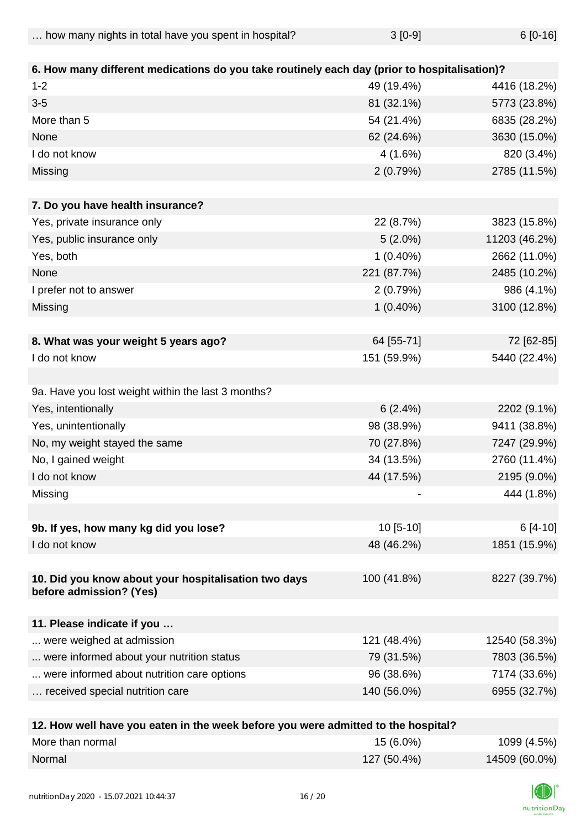| how many nights in total have you spent in hospital? | $3[0-9]$ | 6 [0-16] |
|------------------------------------------------------|----------|----------|
|                                                      |          |          |

| 6. How many different medications do you take routinely each day (prior to hospitalisation)? |             |               |
|----------------------------------------------------------------------------------------------|-------------|---------------|
| $1 - 2$                                                                                      | 49 (19.4%)  | 4416 (18.2%)  |
| $3-5$                                                                                        | 81 (32.1%)  | 5773 (23.8%)  |
| More than 5                                                                                  | 54 (21.4%)  | 6835 (28.2%)  |
| None                                                                                         | 62 (24.6%)  | 3630 (15.0%)  |
| I do not know                                                                                | 4(1.6%)     | 820 (3.4%)    |
| Missing                                                                                      | 2(0.79%)    | 2785 (11.5%)  |
| 7. Do you have health insurance?                                                             |             |               |
| Yes, private insurance only                                                                  | 22 (8.7%)   | 3823 (15.8%)  |
| Yes, public insurance only                                                                   | $5(2.0\%)$  | 11203 (46.2%) |
| Yes, both                                                                                    | $1(0.40\%)$ | 2662 (11.0%)  |
| None                                                                                         | 221 (87.7%) | 2485 (10.2%)  |
| I prefer not to answer                                                                       | 2(0.79%)    | 986 (4.1%)    |
| Missing                                                                                      | $1(0.40\%)$ | 3100 (12.8%)  |
|                                                                                              |             |               |
| 8. What was your weight 5 years ago?                                                         | 64 [55-71]  | 72 [62-85]    |
| I do not know                                                                                | 151 (59.9%) | 5440 (22.4%)  |
|                                                                                              |             |               |
| 9a. Have you lost weight within the last 3 months?                                           |             |               |
| Yes, intentionally                                                                           | 6(2.4%)     | 2202 (9.1%)   |
| Yes, unintentionally                                                                         | 98 (38.9%)  | 9411 (38.8%)  |
| No, my weight stayed the same                                                                | 70 (27.8%)  | 7247 (29.9%)  |
| No, I gained weight                                                                          | 34 (13.5%)  | 2760 (11.4%)  |
| I do not know                                                                                | 44 (17.5%)  | 2195 (9.0%)   |
| Missing                                                                                      |             | 444 (1.8%)    |
| 9b. If yes, how many kg did you lose?                                                        | $10[5-10]$  | $6[4-10]$     |
| I do not know                                                                                | 48 (46.2%)  | 1851 (15.9%)  |
|                                                                                              |             |               |
| 10. Did you know about your hospitalisation two days<br>before admission? (Yes)              | 100 (41.8%) | 8227 (39.7%)  |
|                                                                                              |             |               |
| 11. Please indicate if you                                                                   |             |               |
| were weighed at admission                                                                    | 121 (48.4%) | 12540 (58.3%) |
| were informed about your nutrition status                                                    | 79 (31.5%)  | 7803 (36.5%)  |
| were informed about nutrition care options                                                   | 96 (38.6%)  | 7174 (33.6%)  |
| received special nutrition care                                                              | 140 (56.0%) | 6955 (32.7%)  |
|                                                                                              |             |               |
| 12 How well have you eaten in the week before you were admitted to the hospital?             |             |               |

| <b>IZ. How well have you eaten in the week before you were admitted to the hospital?</b> |               |               |
|------------------------------------------------------------------------------------------|---------------|---------------|
| More than normal                                                                         | $15(6.0\%)$   | 1099 (4.5%)   |
| Normal                                                                                   | $127(50.4\%)$ | 14509 (60.0%) |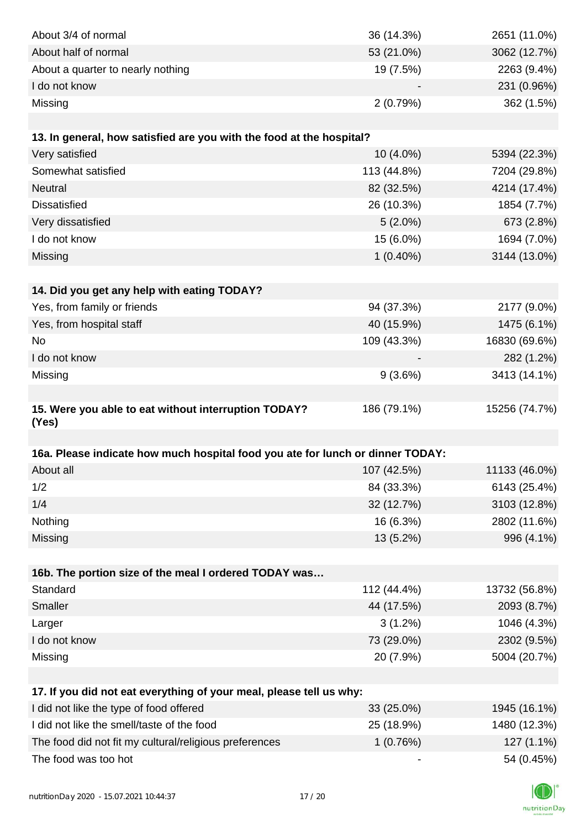| About 3/4 of normal                                                            | 36 (14.3%)  | 2651 (11.0%)  |
|--------------------------------------------------------------------------------|-------------|---------------|
| About half of normal                                                           | 53 (21.0%)  | 3062 (12.7%)  |
| About a quarter to nearly nothing                                              | 19 (7.5%)   | 2263 (9.4%)   |
| I do not know                                                                  |             | 231 (0.96%)   |
| Missing                                                                        | 2(0.79%)    | 362 (1.5%)    |
|                                                                                |             |               |
| 13. In general, how satisfied are you with the food at the hospital?           |             |               |
| Very satisfied                                                                 | 10 (4.0%)   | 5394 (22.3%)  |
| Somewhat satisfied                                                             | 113 (44.8%) | 7204 (29.8%)  |
| Neutral                                                                        | 82 (32.5%)  | 4214 (17.4%)  |
| <b>Dissatisfied</b>                                                            | 26 (10.3%)  | 1854 (7.7%)   |
| Very dissatisfied                                                              | $5(2.0\%)$  | 673 (2.8%)    |
| I do not know                                                                  | 15 (6.0%)   | 1694 (7.0%)   |
| Missing                                                                        | $1(0.40\%)$ | 3144 (13.0%)  |
|                                                                                |             |               |
| 14. Did you get any help with eating TODAY?                                    |             |               |
| Yes, from family or friends                                                    | 94 (37.3%)  | 2177 (9.0%)   |
| Yes, from hospital staff                                                       | 40 (15.9%)  | 1475 (6.1%)   |
| No                                                                             | 109 (43.3%) | 16830 (69.6%) |
| I do not know                                                                  |             | 282 (1.2%)    |
| Missing                                                                        | 9(3.6%)     | 3413 (14.1%)  |
|                                                                                |             |               |
| 15. Were you able to eat without interruption TODAY?                           | 186 (79.1%) | 15256 (74.7%) |
| (Yes)                                                                          |             |               |
| 16a. Please indicate how much hospital food you ate for lunch or dinner TODAY: |             |               |
| About all                                                                      | 107 (42.5%) | 11133 (46.0%) |
| 1/2                                                                            | 84 (33.3%)  | 6143 (25.4%)  |
| 1/4                                                                            | 32 (12.7%)  | 3103 (12.8%)  |
| Nothing                                                                        | 16 (6.3%)   | 2802 (11.6%)  |
| Missing                                                                        | 13 (5.2%)   | 996 (4.1%)    |
|                                                                                |             |               |
| 16b. The portion size of the meal I ordered TODAY was                          |             |               |
| Standard                                                                       | 112 (44.4%) | 13732 (56.8%) |
| Smaller                                                                        | 44 (17.5%)  | 2093 (8.7%)   |
| Larger                                                                         | $3(1.2\%)$  | 1046 (4.3%)   |
| I do not know                                                                  | 73 (29.0%)  | 2302 (9.5%)   |
| Missing                                                                        | 20 (7.9%)   | 5004 (20.7%)  |
|                                                                                |             |               |
| 17. If you did not eat everything of your meal, please tell us why:            |             |               |
| I did not like the type of food offered                                        | 33 (25.0%)  | 1945 (16.1%)  |
| I did not like the smell/taste of the food                                     | 25 (18.9%)  | 1480 (12.3%)  |
| The food did not fit my cultural/religious preferences                         | 1(0.76%)    | 127 (1.1%)    |
| The food was too hot                                                           |             | 54 (0.45%)    |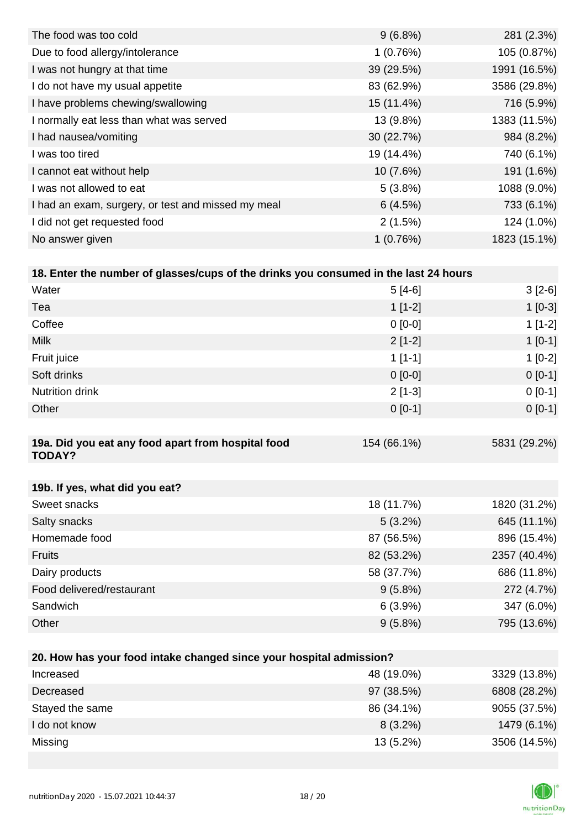| The food was too cold                              | $9(6.8\%)$ | 281 (2.3%)   |
|----------------------------------------------------|------------|--------------|
| Due to food allergy/intolerance                    | 1(0.76%)   | 105 (0.87%)  |
| I was not hungry at that time                      | 39 (29.5%) | 1991 (16.5%) |
| I do not have my usual appetite                    | 83 (62.9%) | 3586 (29.8%) |
| I have problems chewing/swallowing                 | 15 (11.4%) | 716 (5.9%)   |
| I normally eat less than what was served           | 13 (9.8%)  | 1383 (11.5%) |
| I had nausea/vomiting                              | 30(22.7%)  | 984 (8.2%)   |
| I was too tired                                    | 19 (14.4%) | 740 (6.1%)   |
| I cannot eat without help                          | 10(7.6%)   | 191 (1.6%)   |
| I was not allowed to eat                           | 5(3.8%)    | 1088 (9.0%)  |
| I had an exam, surgery, or test and missed my meal | 6(4.5%)    | 733 (6.1%)   |
| I did not get requested food                       | 2(1.5%)    | 124 (1.0%)   |
| No answer given                                    | 1(0.76%)   | 1823 (15.1%) |

| 18. Enter the number of glasses/cups of the drinks you consumed in the last 24 hours |             |              |  |  |
|--------------------------------------------------------------------------------------|-------------|--------------|--|--|
| Water                                                                                | $5[4-6]$    | $3[2-6]$     |  |  |
| Tea                                                                                  | $1[1-2]$    | $1[0-3]$     |  |  |
| Coffee                                                                               | $0$ [0-0]   | $1[1-2]$     |  |  |
| <b>Milk</b>                                                                          | $2[1-2]$    | $1[0-1]$     |  |  |
| Fruit juice                                                                          | $1$ [1-1]   | $1[0-2]$     |  |  |
| Soft drinks                                                                          | $0$ [0-0]   | $0[0-1]$     |  |  |
| <b>Nutrition drink</b>                                                               | $2[1-3]$    | $0[0-1]$     |  |  |
| Other                                                                                | $0[0-1]$    | $0[0-1]$     |  |  |
|                                                                                      |             |              |  |  |
| 19a. Did you eat any food apart from hospital food<br><b>TODAY?</b>                  | 154 (66.1%) | 5831 (29.2%) |  |  |
|                                                                                      |             |              |  |  |
| 19b. If yes, what did you eat?                                                       |             |              |  |  |
| Sweet snacks                                                                         | 18 (11.7%)  | 1820 (31.2%) |  |  |

| Salty snacks              | $5(3.2\%)$ | 645 (11.1%)  |
|---------------------------|------------|--------------|
| Homemade food             | 87 (56.5%) | 896 (15.4%)  |
| <b>Fruits</b>             | 82 (53.2%) | 2357 (40.4%) |
| Dairy products            | 58 (37.7%) | 686 (11.8%)  |
| Food delivered/restaurant | $9(5.8\%)$ | 272 (4.7%)   |
| Sandwich                  | $6(3.9\%)$ | 347 (6.0%)   |
| Other                     | $9(5.8\%)$ | 795 (13.6%)  |

| 20. How has your food intake changed since your hospital admission? |             |              |  |
|---------------------------------------------------------------------|-------------|--------------|--|
| Increased                                                           | 48 (19.0%)  | 3329 (13.8%) |  |
| Decreased                                                           | 97 (38.5%)  | 6808 (28.2%) |  |
| Stayed the same                                                     | 86 (34.1%)  | 9055 (37.5%) |  |
| I do not know                                                       | $8(3.2\%)$  | 1479 (6.1%)  |  |
| Missing                                                             | $13(5.2\%)$ | 3506 (14.5%) |  |

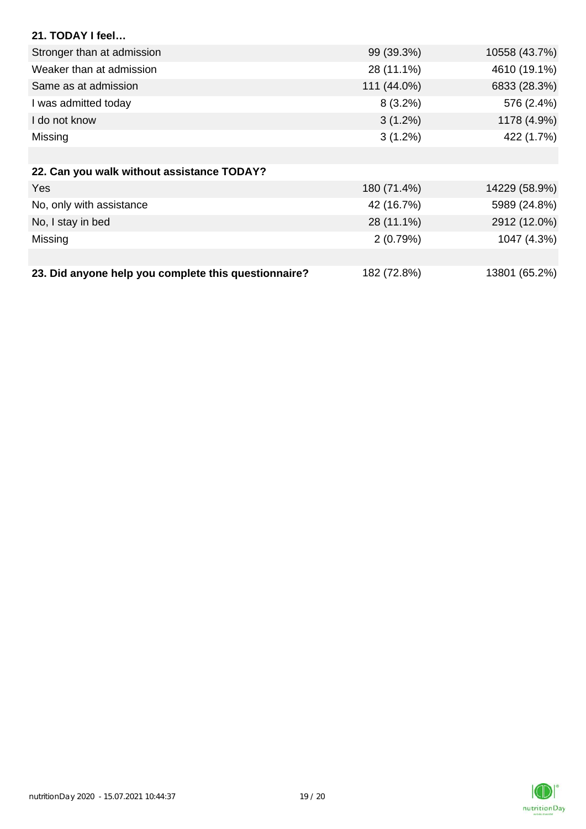| 21. TODAY I feel                                     |             |               |
|------------------------------------------------------|-------------|---------------|
| Stronger than at admission                           | 99 (39.3%)  | 10558 (43.7%) |
| Weaker than at admission                             | 28 (11.1%)  | 4610 (19.1%)  |
| Same as at admission                                 | 111 (44.0%) | 6833 (28.3%)  |
| I was admitted today                                 | $8(3.2\%)$  | 576 (2.4%)    |
| I do not know                                        | $3(1.2\%)$  | 1178 (4.9%)   |
| Missing                                              | $3(1.2\%)$  | 422 (1.7%)    |
|                                                      |             |               |
| 22. Can you walk without assistance TODAY?           |             |               |
| <b>Yes</b>                                           | 180 (71.4%) | 14229 (58.9%) |
| No, only with assistance                             | 42 (16.7%)  | 5989 (24.8%)  |
| No, I stay in bed                                    | 28 (11.1%)  | 2912 (12.0%)  |
| Missing                                              | 2(0.79%)    | 1047 (4.3%)   |
|                                                      |             |               |
| 23. Did anyone help you complete this questionnaire? | 182 (72.8%) | 13801 (65.2%) |